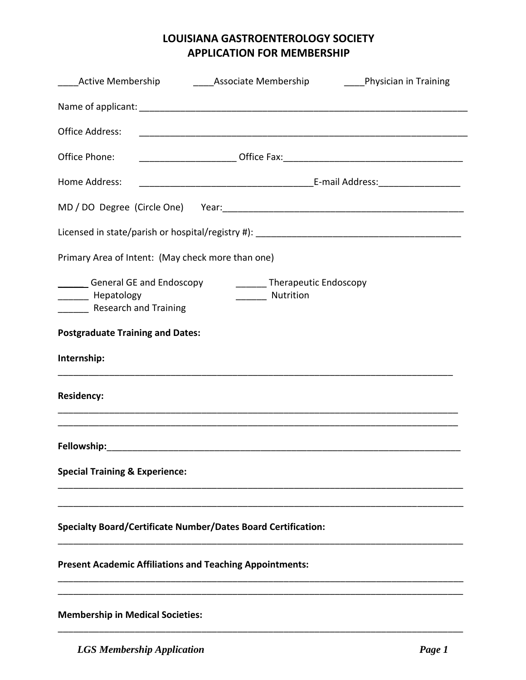## **LOUISIANA GASTROENTEROLOGY SOCIETY APPLICATION FOR MEMBERSHIP**

| <b>Active Membership</b>                                                                                                | <b>Example 2 Associate Membership Container Contract Property</b> Physician in Training |  |  |  |  |  |  |
|-------------------------------------------------------------------------------------------------------------------------|-----------------------------------------------------------------------------------------|--|--|--|--|--|--|
|                                                                                                                         |                                                                                         |  |  |  |  |  |  |
| <b>Office Address:</b>                                                                                                  |                                                                                         |  |  |  |  |  |  |
| Office Phone:                                                                                                           |                                                                                         |  |  |  |  |  |  |
| Home Address:                                                                                                           |                                                                                         |  |  |  |  |  |  |
|                                                                                                                         |                                                                                         |  |  |  |  |  |  |
|                                                                                                                         |                                                                                         |  |  |  |  |  |  |
| Primary Area of Intent: (May check more than one)                                                                       |                                                                                         |  |  |  |  |  |  |
| General GE and Endoscopy<br>________ Therapeutic Endoscopy<br>Nutrition<br>________ Hepatology<br>Research and Training |                                                                                         |  |  |  |  |  |  |
| <b>Postgraduate Training and Dates:</b>                                                                                 |                                                                                         |  |  |  |  |  |  |
| Internship:                                                                                                             |                                                                                         |  |  |  |  |  |  |
| <b>Residency:</b>                                                                                                       |                                                                                         |  |  |  |  |  |  |
|                                                                                                                         |                                                                                         |  |  |  |  |  |  |
| <b>Special Training &amp; Experience:</b>                                                                               |                                                                                         |  |  |  |  |  |  |
|                                                                                                                         | Specialty Board/Certificate Number/Dates Board Certification:                           |  |  |  |  |  |  |
|                                                                                                                         | <b>Present Academic Affiliations and Teaching Appointments:</b>                         |  |  |  |  |  |  |
| <b>Membership in Medical Societies:</b>                                                                                 |                                                                                         |  |  |  |  |  |  |

\_\_\_\_\_\_\_\_\_\_\_\_\_\_\_\_\_\_\_\_\_\_\_\_\_\_\_\_\_\_\_\_\_\_\_\_\_\_\_\_\_\_\_\_\_\_\_\_\_\_\_\_\_\_\_\_\_\_\_\_\_\_\_\_\_\_\_\_\_\_\_\_\_\_\_\_\_\_\_

*LGS Membership Application Page 1*